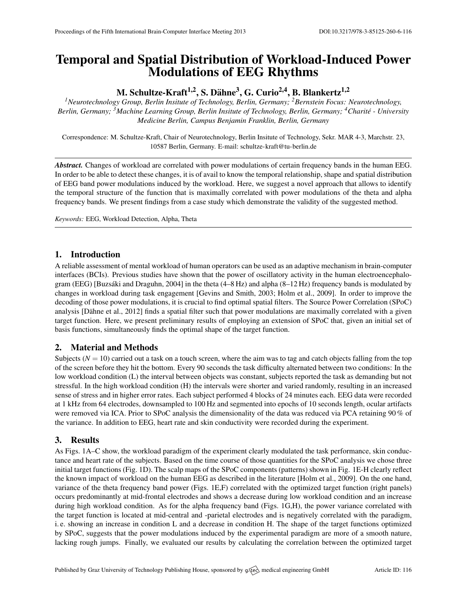# Temporal and Spatial Distribution of Workload-Induced Power Modulations of EEG Rhythms

M. Schultze-Kraft $^{1,2},$  S. Dähne $^3,$  G. Curio $^{2,4},$  B. Blankertz $^{1,2}$ 

*<sup>1</sup>Neurotechnology Group, Berlin Insitute of Technology, Berlin, Germany; <sup>2</sup>Bernstein Focus: Neurotechnology, Berlin, Germany; <sup>3</sup>Machine Learning Group, Berlin Insitute of Technology, Berlin, Germany; <sup>4</sup>Charite - University ´ Medicine Berlin, Campus Benjamin Franklin, Berlin, Germany*

Correspondence: M. Schultze-Kraft, Chair of Neurotechnology, Berlin Insitute of Technology, Sekr. MAR 4-3, Marchstr. 23, 10587 Berlin, Germany. E-mail: [schultze-kraft@tu-berlin.de](mailto:schultze-kraft@tu-berlin.de)

*Abstract.* Changes of workload are correlated with power modulations of certain frequency bands in the human EEG. In order to be able to detect these changes, it is of avail to know the temporal relationship, shape and spatial distribution of EEG band power modulations induced by the workload. Here, we suggest a novel approach that allows to identify the temporal structure of the function that is maximally correlated with power modulations of the theta and alpha frequency bands. We present findings from a case study which demonstrate the validity of the suggested method.

*Keywords:* EEG, Workload Detection, Alpha, Theta

# 1. Introduction

A reliable assessment of mental workload of human operators can be used as an adaptive mechanism in brain-computer interfaces (BCIs). Previous studies have shown that the power of oscillatory activity in the human electroencephalo-gram (EEG) [Buzsáki and Draguhn, [2004\]](#page-1-0) in the theta  $(4-8 Hz)$  and alpha  $(8-12 Hz)$  frequency bands is modulated by changes in workload during task engagement [\[Gevins and Smith,](#page-1-1) [2003;](#page-1-1) [Holm et al.,](#page-1-2) [2009\]](#page-1-2). In order to improve the decoding of those power modulations, it is crucial to find optimal spatial filters. The Source Power Correlation (SPoC) analysis [Dähne et al., [2012\]](#page-1-3) finds a spatial filter such that power modulations are maximally correlated with a given target function. Here, we present preliminary results of employing an extension of SPoC that, given an initial set of basis functions, simultaneously finds the optimal shape of the target function.

## 2. Material and Methods

Subjects  $(N = 10)$  carried out a task on a touch screen, where the aim was to tag and catch objects falling from the top of the screen before they hit the bottom. Every 90 seconds the task difficulty alternated between two conditions: In the low workload condition (L) the interval between objects was constant, subjects reported the task as demanding but not stressful. In the high workload condition (H) the intervals were shorter and varied randomly, resulting in an increased sense of stress and in higher error rates. Each subject performed 4 blocks of 24 minutes each. EEG data were recorded at 1 kHz from 64 electrodes, downsampled to 100 Hz and segmented into epochs of 10 seconds length, ocular artifacts were removed via ICA. Prior to SPoC analysis the dimensionality of the data was reduced via PCA retaining 90 % of the variance. In addition to EEG, heart rate and skin conductivity were recorded during the experiment.

## 3. Results

As Figs. [1A](#page-1-4)–C show, the workload paradigm of the experiment clearly modulated the task performance, skin conductance and heart rate of the subjects. Based on the time course of those quantities for the SPoC analysis we chose three initial target functions (Fig. [1D](#page-1-4)). The scalp maps of the SPoC components (patterns) shown in Fig. [1E](#page-1-4)-H clearly reflect the known impact of workload on the human EEG as described in the literature [\[Holm et al.,](#page-1-2) [2009\]](#page-1-2). On the one hand, variance of the theta frequency band power (Figs. [1E](#page-1-4),F) correlated with the optimized target function (right panels) occurs predominantly at mid-frontal electrodes and shows a decrease during low workload condition and an increase during high workload condition. As for the alpha frequency band (Figs. [1G](#page-1-4),H), the power variance correlated with the target function is located at mid-central and -parietal electrodes and is negatively correlated with the paradigm, i. e. showing an increase in condition L and a decrease in condition H. The shape of the target functions optimized by SPoC, suggests that the power modulations induced by the experimental paradigm are more of a smooth nature, lacking rough jumps. Finally, we evaluated our results by calculating the correlation between the optimized target